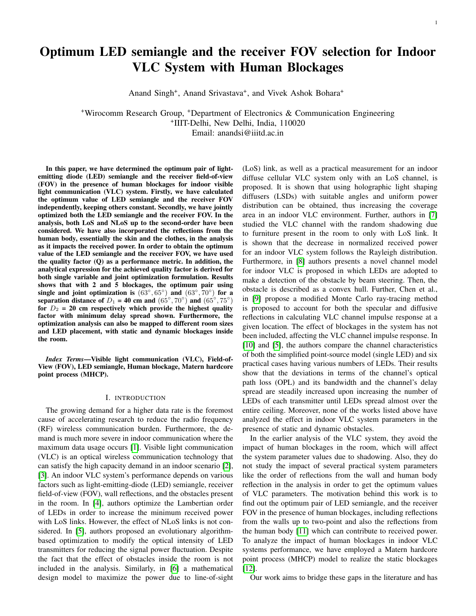# Optimum LED semiangle and the receiver FOV selection for Indoor VLC System with Human Blockages

Anand Singh<sup>+</sup>, Anand Srivastava<sup>+</sup>, and Vivek Ashok Bohara<sup>+</sup>

<sup>+</sup>Wirocomm Research Group, <sup>+</sup>Department of Electronics & Communication Engineering + IIIT-Delhi, New Delhi, India, 110020 Email: anandsi@iiitd.ac.in

In this paper, we have determined the optimum pair of lightemitting diode (LED) semiangle and the receiver field-of-view (FOV) in the presence of human blockages for indoor visible light communication (VLC) system. Firstly, we have calculated the optimum value of LED semiangle and the receiver FOV independently, keeping others constant. Secondly, we have jointly optimized both the LED semiangle and the receiver FOV. In the analysis, both LoS and NLoS up to the second-order have been considered. We have also incorporated the reflections from the human body, essentially the skin and the clothes, in the analysis as it impacts the received power. In order to obtain the optimum value of the LED semiangle and the receiver FOV, we have used the quality factor (Q) as a performance metric. In addition, the analytical expression for the achieved quality factor is derived for both single variable and joint optimization formulation. Results shows that with 2 and 5 blockages, the optimum pair using single and joint optimization is  $(63^{\circ}, 65^{\circ})$  and  $(63^{\circ}, 70^{\circ})$  for a separation distance of  $D_1 = 40$  cm and  $(65^{\circ}, 70^{\circ})$  and  $(65^{\circ}, 75^{\circ})$ for  $D_2 = 20$  cm respectively which provide the highest quality factor with minimum delay spread shown. Furthermore, the optimization analysis can also be mapped to different room sizes and LED placement, with static and dynamic blockages inside the room.

*Index Terms*—Visible light communication (VLC), Field-of-View (FOV), LED semiangle, Human blockage, Matern hardcore point process (MHCP).

#### I. INTRODUCTION

The growing demand for a higher data rate is the foremost cause of accelerating research to reduce the radio frequency (RF) wireless communication burden. Furthermore, the demand is much more severe in indoor communication where the maximum data usage occurs [\[1\]](#page-6-0). Visible light communication (VLC) is an optical wireless communication technology that can satisfy the high capacity demand in an indoor scenario [\[2\]](#page-6-1), [\[3\]](#page-6-2). An indoor VLC system's performance depends on various factors such as light-emitting-diode (LED) semiangle, receiver field-of-view (FOV), wall reflections, and the obstacles present in the room. In [\[4\]](#page-6-3), authors optimize the Lambertian order of LEDs in order to increase the minimum received power with LoS links. However, the effect of NLoS links is not considered. In [\[5\]](#page-6-4), authors proposed an evolutionary algorithmbased optimization to modify the optical intensity of LED transmitters for reducing the signal power fluctuation. Despite the fact that the effect of obstacles inside the room is not included in the analysis. Similarly, in [\[6\]](#page-6-5) a mathematical design model to maximize the power due to line-of-sight

(LoS) link, as well as a practical measurement for an indoor diffuse cellular VLC system only with an LoS channel, is proposed. It is shown that using holographic light shaping diffusers (LSDs) with suitable angles and uniform power distribution can be obtained, thus increasing the coverage area in an indoor VLC environment. Further, authors in [\[7\]](#page-6-6) studied the VLC channel with the random shadowing due to furniture present in the room to only with LoS link. It is shown that the decrease in normalized received power for an indoor VLC system follows the Rayleigh distribution. Furthermore, in [\[8\]](#page-6-7) authors presents a novel channel model for indoor VLC is proposed in which LEDs are adopted to make a detection of the obstacle by beam steering. Then, the obstacle is described as a convex hull. Further, Chen et al., in [\[9\]](#page-6-8) propose a modified Monte Carlo ray-tracing method is proposed to account for both the specular and diffusive reflections in calculating VLC channel impulse response at a given location. The effect of blockages in the system has not been included, affecting the VLC channel impulse response. In [\[10\]](#page-6-9) and [\[5\]](#page-6-4), the authors compare the channel characteristics of both the simplified point-source model (single LED) and six practical cases having various numbers of LEDs. Their results show that the deviations in terms of the channel's optical path loss (OPL) and its bandwidth and the channel's delay spread are steadily increased upon increasing the number of LEDs of each transmitter until LEDs spread almost over the entire ceiling. Moreover, none of the works listed above have analyzed the effect in indoor VLC system parameters in the presence of static and dynamic obstacles.

In the earlier analysis of the VLC system, they avoid the impact of human blockages in the room, which will affect the system parameter values due to shadowing. Also, they do not study the impact of several practical system parameters like the order of reflections from the wall and human body reflection in the analysis in order to get the optimum values of VLC parameters. The motivation behind this work is to find out the optimum pair of LED semiangle, and the receiver FOV in the presence of human blockages, including reflections from the walls up to two-point and also the reflections from the human body [\[11\]](#page-6-10) which can contribute to received power. To analyze the impact of human blockages in indoor VLC systems performance, we have employed a Matern hardcore point process (MHCP) model to realize the static blockages [\[12\]](#page-6-11).

Our work aims to bridge these gaps in the literature and has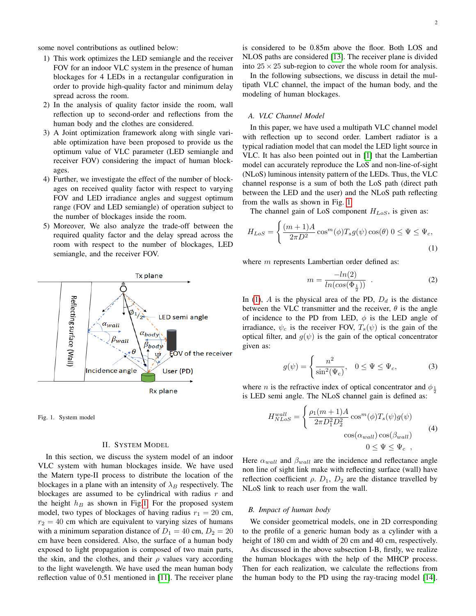some novel contributions as outlined below:

- 1) This work optimizes the LED semiangle and the receiver FOV for an indoor VLC system in the presence of human blockages for 4 LEDs in a rectangular configuration in order to provide high-quality factor and minimum delay spread across the room.
- 2) In the analysis of quality factor inside the room, wall reflection up to second-order and reflections from the human body and the clothes are considered.
- 3) A Joint optimization framework along with single variable optimization have been proposed to provide us the optimum value of VLC parameter (LED semiangle and receiver FOV) considering the impact of human blockages.
- 4) Further, we investigate the effect of the number of blockages on received quality factor with respect to varying FOV and LED irradiance angles and suggest optimum range (FOV and LED semiangle) of operation subject to the number of blockages inside the room.
- 5) Moreover, We also analyze the trade-off between the required quality factor and the delay spread across the room with respect to the number of blockages, LED semiangle, and the receiver FOV.



Fig. 1. System model

### <span id="page-1-0"></span>II. SYSTEM MODEL

In this section, we discuss the system model of an indoor VLC system with human blockages inside. We have used the Matern type-II process to distribute the location of the blockages in a plane with an intensity of  $\lambda_B$  respectively. The blockages are assumed to be cylindrical with radius  $r$  and the height  $h_B$  as shown in Fig[.1.](#page-1-0) For the proposed system model, two types of blockages of having radius  $r_1 = 20$  cm,  $r_2 = 40$  cm which are equivalent to varying sizes of humans with a minimum separation distance of  $D_1 = 40$  cm,  $D_2 = 20$ cm have been considered. Also, the surface of a human body exposed to light propagation is composed of two main parts, the skin, and the clothes, and their  $\rho$  values vary according to the light wavelength. We have used the mean human body reflection value of 0.51 mentioned in [\[11\]](#page-6-10). The receiver plane

2

is considered to be 0.85m above the floor. Both LOS and NLOS paths are considered [\[13\]](#page-6-12). The receiver plane is divided into  $25 \times 25$  sub-region to cover the whole room for analysis.

In the following subsections, we discuss in detail the multipath VLC channel, the impact of the human body, and the modeling of human blockages.

# *A. VLC Channel Model*

In this paper, we have used a multipath VLC channel model with reflection up to second order. Lambert radiator is a typical radiation model that can model the LED light source in VLC. It has also been pointed out in [\[1\]](#page-6-0) that the Lambertian model can accurately reproduce the LoS and non-line-of-sight (NLoS) luminous intensity pattern of the LEDs. Thus, the VLC channel response is a sum of both the LoS path (direct path between the LED and the user) and the NLoS path reflecting from the walls as shown in Fig. [1.](#page-1-0)

The channel gain of LoS component  $H_{LoS}$ , is given as:

$$
H_{LoS} = \begin{cases} \frac{(m+1)A}{2\pi D^2} \cos^m(\phi) T_s g(\psi) \cos(\theta) & 0 \le \Psi \le \Psi_c, \\ 0 & (1) \end{cases}
$$

where  $m$  represents Lambertian order defined as:

<span id="page-1-1"></span>
$$
m = \frac{-\ln(2)}{\ln(\cos(\Phi_{\frac{1}{2}}))} \tag{2}
$$

In [\(1\)](#page-1-1),  $A$  is the physical area of the PD,  $D_d$  is the distance between the VLC transmitter and the receiver,  $\theta$  is the angle of incidence to the PD from LED,  $\phi$  is the LED angle of irradiance,  $\psi_c$  is the receiver FOV,  $T_s(\psi)$  is the gain of the optical filter, and  $g(\psi)$  is the gain of the optical concentrator given as:

<span id="page-1-3"></span><span id="page-1-2"></span>
$$
g(\psi) = \begin{cases} \frac{n^2}{\sin^2(\Psi_c)}, & 0 \le \Psi \le \Psi_c, \end{cases}
$$
 (3)

where *n* is the refractive index of optical concentrator and  $\phi_{\frac{1}{2}}$ is LED semi angle. The NLoS channel gain is defined as:

$$
H_{NLoS}^{wall} = \begin{cases} \frac{\rho_1(m+1)A}{2\pi D_1^2 D_2^2} \cos^m(\phi) T_s(\psi) g(\psi) \\ \cos(\alpha_{wall}) \cos(\beta_{wall}) \\ 0 \le \Psi \le \Psi_c \end{cases}
$$
 (4)

Here  $\alpha_{wall}$  and  $\beta_{wall}$  are the incidence and reflectance angle non line of sight link make with reflecting surface (wall) have reflection coefficient  $\rho$ .  $D_1$ ,  $D_2$  are the distance travelled by NLoS link to reach user from the wall.

### *B. Impact of human body*

We consider geometrical models, one in 2D corresponding to the profile of a generic human body as a cylinder with a height of 180 cm and width of 20 cm and 40 cm, respectively.

As discussed in the above subsection I-B, firstly, we realize the human blockages with the help of the MHCP process. Then for each realization, we calculate the reflections from the human body to the PD using the ray-tracing model [\[14\]](#page-6-13).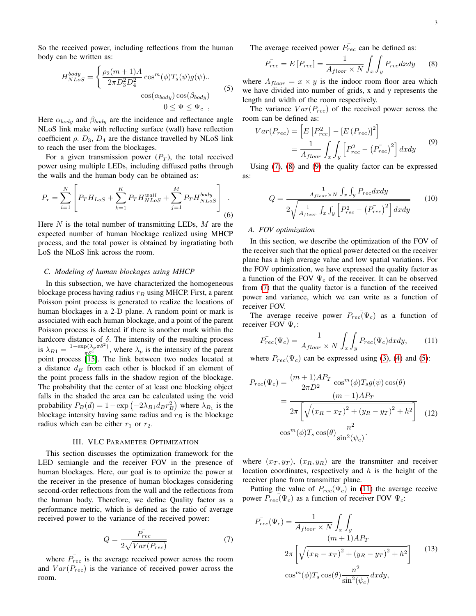So the received power, including reflections from the human body can be written as:

<span id="page-2-3"></span>
$$
H_{NLoS}^{body} = \begin{cases} \frac{\rho_2(m+1)A}{2\pi D_3^2 D_4^2} \cos^m(\phi) T_s(\psi) g(\psi).\\ 0 \cos(\alpha_{body}) \cos(\beta_{body}) \end{cases}
$$
(5)  

$$
0 \le \Psi \le \Psi_c
$$

Here  $\alpha_{body}$  and  $\beta_{body}$  are the incidence and reflectance angle NLoS link make with reflecting surface (wall) have reflection coefficient  $\rho$ .  $D_3$ ,  $D_4$  are the distance travelled by NLoS link to reach the user from the blockages.

For a given transmission power  $(P_T)$ , the total received power using multiple LEDs, including diffused paths through the walls and the human body can be obtained as:

$$
P_r = \sum_{i=1}^{N} \left[ P_T H_{LoS} + \sum_{k=1}^{K} P_T H_{NLoS}^{wall} + \sum_{j=1}^{M} P_T H_{NLoS}^{body} \right] .
$$
 (6)

Here  $N$  is the total number of transmitting LEDs,  $M$  are the expected number of human blockage realized using MHCP process, and the total power is obtained by ingratiating both LoS the NLoS link across the room.

### *C. Modeling of human blockages using MHCP*

In this subsection, we have characterized the homogeneous blockage process having radius  $r_B$  using MHCP. First, a parent Poisson point process is generated to realize the locations of human blockages in a 2-D plane. A random point or mark is associated with each human blockage, and a point of the parent Poisson process is deleted if there is another mark within the hardcore distance of  $\delta$ . The intensity of the resulting process is  $\lambda_{B1} = \frac{1-\exp(\lambda_p \pi \delta^2)}{\pi \delta^2}$ , where  $\lambda_p$  is the intensity of the parent point process [\[15\]](#page-6-14). The link between two nodes located at a distance  $d_B$  from each other is blocked if an element of the point process falls in the shadow region of the blockage. The probability that the center of at least one blocking object falls in the shaded the area can be calculated using the void probability  $P_B(d) = 1 - \exp(-2\lambda_{B1}d_B r_B^2)$  where  $\lambda_{B_1}$  is the blockage intensity having same radius and  $r_B$  is the blockage radius which can be either  $r_1$  or  $r_2$ .

## III. VLC PARAMETER OPTIMIZATION

This section discusses the optimization framework for the LED semiangle and the receiver FOV in the presence of human blockages. Here, our goal is to optimize the power at the receiver in the presence of human blockages considering second-order reflections from the wall and the reflections from the human body. Therefore, we define Quality factor as a performance metric, which is defined as the ratio of average received power to the variance of the received power:

$$
Q = \frac{\bar{P_{rec}}}{2\sqrt{Var(P_{rec})}}\tag{7}
$$

<span id="page-2-0"></span>where  $\overline{P_{rec}}$  is the average received power across the room and  $Var(P_{rec})$  is the variance of received power across the room.

The average received power  $\overline{P_{rec}}$  can be defined as:

<span id="page-2-1"></span>
$$
P_{rec}^{-} = E[P_{rec}] = \frac{1}{A_{floor} \times N} \int_{x} \int_{y} P_{rec} dx dy
$$
 (8)

where  $A_{floor} = x \times y$  is the indoor room floor area which we have divided into number of grids, x and y represents the length and width of the room respectively.

The variance  $Var(P_{rec})$  of the received power across the room can be defined as:

<span id="page-2-2"></span>
$$
Var(P_{rec}) = \left[ E\left[P_{rec}^2\right] - \left[E\left(P_{rec}\right)\right]^2 \right]
$$

$$
= \frac{1}{A_{floor}} \int_x \int_y \left[P_{rec}^2 - \left(P_{rec}^2\right)^2\right] dx dy \tag{9}
$$

Using [\(7\)](#page-2-0), [\(8\)](#page-2-1) and [\(9\)](#page-2-2) the quality factor can be expressed as:

$$
Q = \frac{\frac{1}{A_{floor} \times N} \int_x \int_y P_{rec} dx dy}{2 \sqrt{\frac{1}{A_{floor}} \int_x \int_y \left[ P_{rec}^2 - \left( P_{rec}^- \right)^2 \right] dx dy}}
$$
(10)

# *A. FOV optimization*

In this section, we describe the optimization of the FOV of the receiver such that the optical power detected on the receiver plane has a high average value and low spatial variations. For the FOV optimization, we have expressed the quality factor as a function of the FOV  $\Psi_c$  of the receiver. It can be observed from [\(7\)](#page-2-0) that the quality factor is a function of the received power and variance, which we can write as a function of receiver FOV.

The average receive power  $P_{rec}(\Psi_c)$  as a function of receiver FOV  $\Psi_c$ :

<span id="page-2-4"></span>
$$
\bar{P_{rec}}(\Psi_c) = \frac{1}{A_{floor} \times N} \int_x \int_y P_{rec}(\Psi_c) dx dy, \qquad (11)
$$

where  $P_{rec}(\Psi_c)$  can be expressed using [\(3\)](#page-1-2), [\(4\)](#page-1-3) and [\(5\)](#page-2-3):

$$
P_{rec}(\Psi_c) = \frac{(m+1)AP_T}{2\pi D^2} \cos^m(\phi) T_s g(\psi) \cos(\theta)
$$
  
= 
$$
\frac{(m+1)AP_T}{2\pi \left[ \sqrt{(x_R - x_T)^2 + (y_R - y_T)^2 + h^2} \right]}
$$
 (12)  

$$
\cos^m(\phi) T_s \cos(\theta) \frac{n^2}{\sin^2(\psi_c)}.
$$

where  $(x_T, y_T)$ ,  $(x_R, y_R)$  are the transmitter and receiver location coordinates, respectively and  $h$  is the height of the receiver plane from transmitter plane.

Putting the value of  $P_{rec}(\Psi_c)$  in [\(11\)](#page-2-4) the average receive power  $\overline{P_{rec}}(\Psi_c)$  as a function of receiver FOV  $\Psi_c$ :

$$
P_{rec}(\Psi_c) = \frac{1}{A_{floor} \times N} \int_x \int_y
$$
  

$$
\frac{(m+1)AP_T}{2\pi \left[ \sqrt{(x_R - x_T)^2 + (y_R - y_T)^2 + h^2} \right]}
$$
(13)  

$$
\cos^m(\phi) T_s \cos(\theta) \frac{n^2}{\sin^2(\psi_c)} dx dy,
$$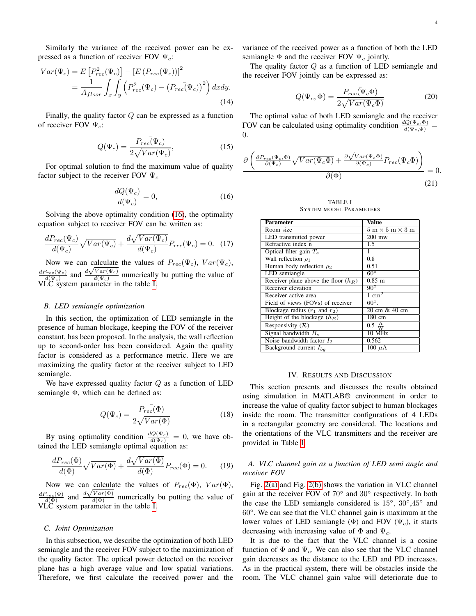Similarly the variance of the received power can be expressed as a function of receiver FOV  $\Psi_c$ :

$$
Var(\Psi_c) = E\left[P_{rec}^2(\Psi_c)\right] - \left[E\left(P_{rec}(\Psi_c)\right)\right]^2
$$

$$
= \frac{1}{A_{floor}} \int_x \int_y \left(P_{rec}^2(\Psi_c) - \left(P_{rec}(\Psi_c)\right)^2\right) dx dy.
$$
(14)

Finally, the quality factor  $Q$  can be expressed as a function of receiver FOV  $\Psi_c$ :

$$
Q(\Psi_c) = \frac{P_{rec}(\Psi_c)}{2\sqrt{Var(\Psi_c)}},\tag{15}
$$

<span id="page-3-0"></span>For optimal solution to find the maximum value of quality factor subject to the receiver FOV  $\Psi_c$ 

$$
\frac{dQ(\Psi_c)}{d(\Psi_c)} = 0,\t(16)
$$

Solving the above optimality condition [\(16\)](#page-3-0), the optimality equation subject to receiver FOV can be written as:

$$
\frac{dP_{rec}(\Psi_c)}{d(\Psi_c)}\sqrt{Var(\Psi_c)} + \frac{d\sqrt{Var(\Psi_c)}}{d(\Psi_c)}P_{rec}(\Psi_c) = 0.
$$
 (17)

Now we can calculate the values of  $P_{rec}(\Psi_c)$ ,  $Var(\Psi_c)$ ,  $dP_{rec}(\Psi_c)$  $\frac{\partial_{rec}(\Psi_c)}{d(\Psi_c)}$  and  $\frac{d\sqrt{Var(\Psi_c)}}{d(\Psi_c)}$  $\frac{\sqrt{a} \left(\Psi_c\right)}{d \left(\Psi_c\right)}$  numerically bu putting the value of VLC system parameter in the table [I.](#page-3-1)

## *B. LED semiangle optimization*

In this section, the optimization of LED semiangle in the presence of human blockage, keeping the FOV of the receiver constant, has been proposed. In the analysis, the wall reflection up to second-order has been considered. Again the quality factor is considered as a performance metric. Here we are maximizing the quality factor at the receiver subject to LED semiangle.

We have expressed quality factor  $Q$  as a function of LED semiangle Φ, which can be defined as:

$$
Q(\Psi_c) = \frac{P_{rec}(\Phi)}{2\sqrt{Var(\Phi)}}\tag{18}
$$

By using optimality condition  $\frac{dQ(\Psi_c)}{d(\Psi_c)} = 0$ , we have obtained the LED semiangle optimal equation as:

$$
\frac{dP_{rec}(\Phi)}{d(\Phi)}\sqrt{Var(\Phi)} + \frac{d\sqrt{Var(\Phi)}}{d(\Phi)}P_{rec}(\Phi) = 0.
$$
 (19)

Now we can calculate the values of  $P_{rec}(\Phi)$ ,  $Var(\Phi)$ ,  $\frac{dP_{rec}(\Phi)}{d(\Phi)}$  and  $\frac{d\sqrt{Var(\Phi)}}{d(\Phi)}$  numerically bu putting the value of VLC system parameter in the table [I.](#page-3-1)

# *C. Joint Optimization*

In this subsection, we describe the optimization of both LED semiangle and the receiver FOV subject to the maximization of the quality factor. The optical power detected on the receiver plane has a high average value and low spatial variations. Therefore, we first calculate the received power and the

variance of the received power as a function of both the LED semiangle  $\Phi$  and the receiver FOV  $\Psi_c$  jointly.

The quality factor  $Q$  as a function of LED semiangle and the receiver FOV jointly can be expressed as:

$$
Q(\Psi_c, \Phi) = \frac{P_{rec}(\Psi_c \Phi)}{2\sqrt{Var(\Psi_c \Phi)}}
$$
(20)

The optimal value of both LED semiangle and the receiver FOV can be calculated using optimality condition  $\frac{dQ(\Psi_c, \Phi)}{d(\Psi_c, \Phi)}$  = 0.

$$
\frac{\partial \left( \frac{\partial P_{rec}(\Psi_c, \Phi)}{\partial(\Psi_c)} \sqrt{Var(\Psi_c \Phi)} + \frac{\partial \sqrt{Var(\Psi_c \Phi)}}{\partial(\Psi_c)} P_{rec}(\Psi_c \Phi) \right)}{\partial(\Phi)} = 0.
$$
\n(21)

TABLE I SYSTEM MODEL PARAMETERS

<span id="page-3-1"></span>

| Parameter                              | Value                                               |  |  |
|----------------------------------------|-----------------------------------------------------|--|--|
| Room size                              | $5 \text{ m} \times 5 \text{ m} \times 3 \text{ m}$ |  |  |
| LED transmitted power                  | $200$ mw                                            |  |  |
| Refractive index n                     | 1.5                                                 |  |  |
| Optical filter gain $T_s$              | 1                                                   |  |  |
| Wall reflection $\rho_1$               | 0.8                                                 |  |  |
| Human body reflection $\rho_2$         | 0.51                                                |  |  |
| LED semiangle                          | $60^\circ$                                          |  |  |
| Receiver plane above the floor $(h_R)$ | $0.85$ m                                            |  |  |
| Receiver elevation                     | $90^\circ$                                          |  |  |
| Receiver active area                   | $1 \text{ cm}^2$                                    |  |  |
| Field of views (FOVs) of receiver      | $60^\circ$ .                                        |  |  |
| Blockage radius $(r_1$ and $r_2)$      | 20 cm & 40 cm                                       |  |  |
| Height of the blockage $(h_B)$         | 180 cm                                              |  |  |
| Responsivity $(\mathcal{R})$           | $0.5 \frac{\text{A}}{\text{W}}$                     |  |  |
| Signal bandwidth $B_s$                 | 10 MHz                                              |  |  |
| Noise bandwidth factor $I_2$           | 0.562                                               |  |  |
| Background current $I_{ba}$            | $100 \mu A$                                         |  |  |

#### IV. RESULTS AND DISCUSSION

This section presents and discusses the results obtained using simulation in MATLAB® environment in order to increase the value of quality factor subject to human blockages inside the room. The transmitter configurations of 4 LEDs in a rectangular geometry are considered. The locations and the orientations of the VLC transmitters and the receiver are provided in Table [I.](#page-3-1)

# *A. VLC channel gain as a function of LED semi angle and receiver FOV*

Fig. [2\(a\)](#page-4-0) and Fig. [2\(b\)](#page-4-1) shows the variation in VLC channel gain at the receiver FOV of 70° and 30° respectively. In both the case the LED semiangle considered is 15°, 30°,45° and 60◦ . We can see that the VLC channel gain is maximum at the lower values of LED semiangle ( $\Phi$ ) and FOV ( $\Psi_c$ ), it starts decreasing with increasing value of  $\Phi$  and  $\Psi_c$ .

It is due to the fact that the VLC channel is a cosine function of  $\Phi$  and  $\Psi_c$ . We can also see that the VLC channel gain decreases as the distance to the LED and PD increases. As in the practical system, there will be obstacles inside the room. The VLC channel gain value will deteriorate due to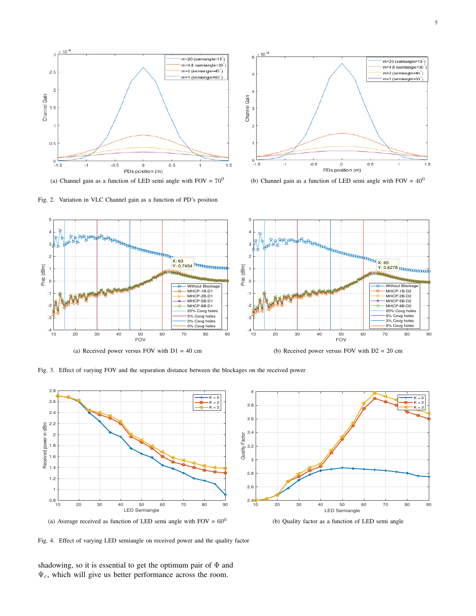<span id="page-4-0"></span>

(a) Channel gain as a function of LED semi angle with  $FOV = 70^0$ 



<span id="page-4-3"></span><span id="page-4-1"></span>(b) Channel gain as a function of LED semi angle with FOV =  $40^0$ 

<span id="page-4-2"></span>

Fig. 3. Effect of varying FOV and the separation distance between the blockages on the received power

<span id="page-4-4"></span>

(a) Average received as function of LED semi angle with  $FOV = 60^0$ 

<span id="page-4-6"></span><span id="page-4-5"></span>(b) Quality factor as a function of LED semi angle

Fig. 4. Effect of varying LED semiangle on received power and the quality factor

shadowing, so it is essential to get the optimum pair of  $\Phi$  and  $\Psi_c$ , which will give us better performance across the room.

Fig. 2. Variation in VLC Channel gain as a function of PD's position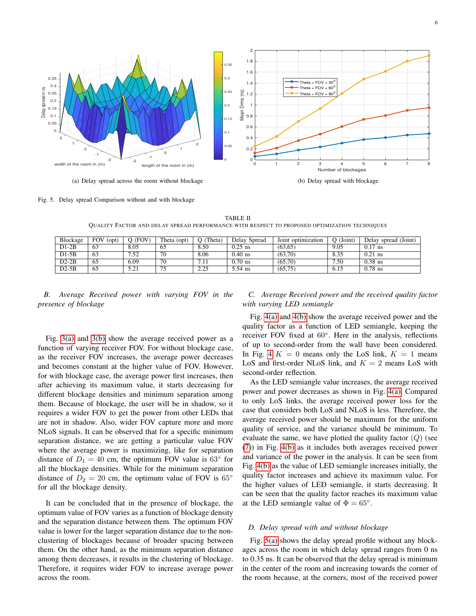<span id="page-5-0"></span>

<span id="page-5-2"></span>Fig. 5. Delay spread Comparison without and with blockage

TABLE II QUALITY FACTOR AND DELAY SPREAD PERFORMANCE WITH RESPECT TO PROPOSED OPTIMIZATION TECHNIQUES

| Blockage | <b>FOV</b><br>(Opt) | (FOV) | Theta<br>(opt) | Theta) | Delay Spread | Joint optimization | $O$ (Joint) | Delay spread (Joint) |
|----------|---------------------|-------|----------------|--------|--------------|--------------------|-------------|----------------------|
| $D1-2B$  | 63                  | 8.05  | 65             | 8.50   | $0.25$ ns    | (63, 65)           | 9.05        | $0.17$ ns            |
| $D1-5B$  | 63                  | 7.52  | 70             | 8.06   | $0.40$ ns    | (63,70)            | 8.35        | $0.21$ ns            |
| $D2-2B$  | 65                  | 6.09  | 70             | 7.11   | $0.70$ ns    | (65,70)            | 7.50        | $0.38$ ns            |
| $D2-5B$  | 65                  | 5.21  | 75             | 2.25   | 5.54 ns      | (65, 75)           | 6.15        | $0.78$ ns            |

# *B. Average Received power with varying FOV in the presence of blockage*

Fig. [3\(a\)](#page-4-2) and [3\(b\)](#page-4-3) show the average received power as a function of varying receiver FOV. For without blockage case, as the receiver FOV increases, the average power decreases and becomes constant at the higher value of FOV. However, for with blockage case, the average power first increases, then after achieving its maximum value, it starts decreasing for different blockage densities and minimum separation among them. Because of blockage, the user will be in shadow, so it requires a wider FOV to get the power from other LEDs that are not in shadow. Also, wider FOV capture more and more NLoS signals. It can be observed that for a specific minimum separation distance, we are getting a particular value FOV where the average power is maximizing, like for separation distance of  $D_1 = 40$  cm, the optimum FOV value is 63 $\degree$  for all the blockage densities. While for the minimum separation distance of  $D_2 = 20$  cm, the optimum value of FOV is 65° for all the blockage density.

It can be concluded that in the presence of blockage, the optimum value of FOV varies as a function of blockage density and the separation distance between them. The optimum FOV value is lower for the larger separation distance due to the nonclustering of blockages because of broader spacing between them. On the other hand, as the minimum separation distance among them decreases, it results in the clustering of blockage. Therefore, it requires wider FOV to increase average power across the room.

# <span id="page-5-1"></span>*C. Average Received power and the received quality factor with varying LED semiangle*

Fig. [4\(a\)](#page-4-4) and [4\(b\)](#page-4-5) show the average received power and the quality factor as a function of LED semiangle, keeping the receiver FOV fixed at 60°. Here in the analysis, reflections of up to second-order from the wall have been considered. In Fig. [4](#page-4-6)  $K = 0$  means only the LoS link,  $K = 1$  means LoS and first-order NLoS link, and  $K = 2$  means LoS with second-order reflection.

As the LED semiangle value increases, the average received power and power decreases as shown in Fig. [4\(a\).](#page-4-4) Compared to only LoS links, the average received power loss for the case that considers both LoS and NLoS is less. Therefore, the average received power should be maximum for the uniform quality of service, and the variance should be minimum. To evaluate the same, we have plotted the quality factor  $(Q)$  (see [\(7\)](#page-2-0)) in Fig. [4\(b\)](#page-4-5) as it includes both averages received power and variance of the power in the analysis. It can be seen from Fig. [4\(b\)](#page-4-5) as the value of LED semiangle increases initially, the quality factor increases and achieve its maximum value. For the higher values of LED semiangle, it starts decreasing. It can be seen that the quality factor reaches its maximum value at the LED semiangle value of  $\Phi = 65^{\circ}$ .

# *D. Delay spread with and without blockage*

Fig. [5\(a\)](#page-5-0) shows the delay spread profile without any blockages across the room in which delay spread ranges from 0 ns to 0.35 ns. It can be observed that the delay spread is minimum in the center of the room and increasing towards the corner of the room because, at the corners, most of the received power